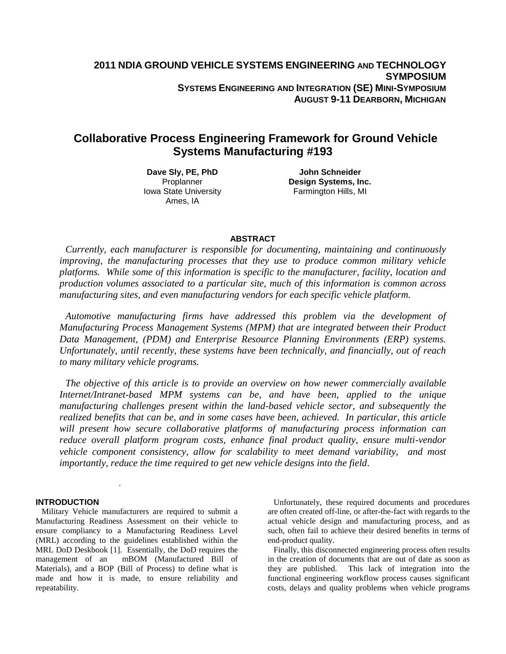# **Collaborative Process Engineering Framework for Ground Vehicle Systems Manufacturing #193**

**Dave Sly, PE, PhD** Proplanner Iowa State University Ames, IA

**John Schneider Design Systems, Inc.** Farmington Hills, MI

# **ABSTRACT**

*Currently, each manufacturer is responsible for documenting, maintaining and continuously improving, the manufacturing processes that they use to produce common military vehicle platforms. While some of this information is specific to the manufacturer, facility, location and production volumes associated to a particular site, much of this information is common across manufacturing sites, and even manufacturing vendors for each specific vehicle platform.*

*Automotive manufacturing firms have addressed this problem via the development of Manufacturing Process Management Systems (MPM) that are integrated between their Product Data Management, (PDM) and Enterprise Resource Planning Environments (ERP) systems. Unfortunately, until recently, these systems have been technically, and financially, out of reach to many military vehicle programs.* 

*The objective of this article is to provide an overview on how newer commercially available Internet/Intranet-based MPM systems can be, and have been, applied to the unique manufacturing challenges present within the land-based vehicle sector, and subsequently the realized benefits that can be, and in some cases have been, achieved. In particular, this article will present how secure collaborative platforms of manufacturing process information can reduce overall platform program costs, enhance final product quality, ensure multi-vendor vehicle component consistency, allow for scalability to meet demand variability, and most importantly, reduce the time required to get new vehicle designs into the field*.

### **INTRODUCTION**

Military Vehicle manufacturers are required to submit a Manufacturing Readiness Assessment on their vehicle to ensure compliancy to a Manufacturing Readiness Level (MRL) according to the guidelines established within the MRL DoD Deskbook [1]. Essentially, the DoD requires the management of an mBOM (Manufactured Bill of Materials), and a BOP (Bill of Process) to define what is made and how it is made, to ensure reliability and repeatability.

*.*

Unfortunately, these required documents and procedures are often created off-line, or after-the-fact with regards to the actual vehicle design and manufacturing process, and as such, often fail to achieve their desired benefits in terms of end-product quality.

Finally, this disconnected engineering process often results in the creation of documents that are out of date as soon as they are published. This lack of integration into the functional engineering workflow process causes significant costs, delays and quality problems when vehicle programs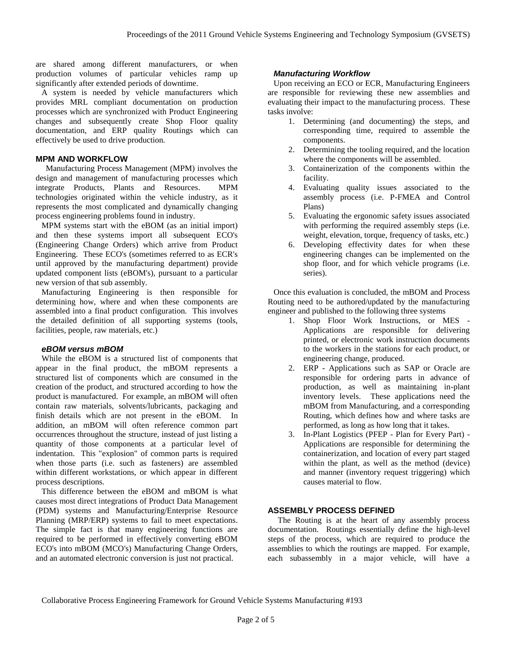are shared among different manufacturers, or when production volumes of particular vehicles ramp up significantly after extended periods of downtime.

A system is needed by vehicle manufacturers which provides MRL compliant documentation on production processes which are synchronized with Product Engineering changes and subsequently create Shop Floor quality documentation, and ERP quality Routings which can effectively be used to drive production.

# **MPM AND WORKFLOW**

 Manufacturing Process Management (MPM) involves the design and management of manufacturing processes which integrate Products, Plants and Resources. MPM technologies originated within the vehicle industry, as it represents the most complicated and dynamically changing process engineering problems found in industry.

MPM systems start with the eBOM (as an initial import) and then these systems import all subsequent ECO's (Engineering Change Orders) which arrive from Product Engineering. These ECO's (sometimes referred to as ECR's until approved by the manufacturing department) provide updated component lists (eBOM's), pursuant to a particular new version of that sub assembly.

Manufacturing Engineering is then responsible for determining how, where and when these components are assembled into a final product configuration. This involves the detailed definition of all supporting systems (tools, facilities, people, raw materials, etc.)

### *eBOM versus mBOM*

While the eBOM is a structured list of components that appear in the final product, the mBOM represents a structured list of components which are consumed in the creation of the product, and structured according to how the product is manufactured. For example, an mBOM will often contain raw materials, solvents/lubricants, packaging and finish details which are not present in the eBOM. In addition, an mBOM will often reference common part occurrences throughout the structure, instead of just listing a quantity of those components at a particular level of indentation. This "explosion" of common parts is required when those parts (i.e. such as fasteners) are assembled within different workstations, or which appear in different process descriptions.

This difference between the eBOM and mBOM is what causes most direct integrations of Product Data Management (PDM) systems and Manufacturing/Enterprise Resource Planning (MRP/ERP) systems to fail to meet expectations. The simple fact is that many engineering functions are required to be performed in effectively converting eBOM ECO's into mBOM (MCO's) Manufacturing Change Orders, and an automated electronic conversion is just not practical.

#### *Manufacturing Workflow*

Upon receiving an ECO or ECR, Manufacturing Engineers are responsible for reviewing these new assemblies and evaluating their impact to the manufacturing process. These tasks involve:

- 1. Determining (and documenting) the steps, and corresponding time, required to assemble the components.
- 2. Determining the tooling required, and the location where the components will be assembled.
- 3. Containerization of the components within the facility.
- 4. Evaluating quality issues associated to the assembly process (i.e. P-FMEA and Control Plans)
- 5. Evaluating the ergonomic safety issues associated with performing the required assembly steps (i.e. weight, elevation, torque, frequency of tasks, etc.)
- 6. Developing effectivity dates for when these engineering changes can be implemented on the shop floor, and for which vehicle programs (i.e. series).

Once this evaluation is concluded, the mBOM and Process Routing need to be authored/updated by the manufacturing engineer and published to the following three systems

- 1. Shop Floor Work Instructions, or MES Applications are responsible for delivering printed, or electronic work instruction documents to the workers in the stations for each product, or engineering change, produced.
- 2. ERP Applications such as SAP or Oracle are responsible for ordering parts in advance of production, as well as maintaining in-plant inventory levels. These applications need the mBOM from Manufacturing, and a corresponding Routing, which defines how and where tasks are performed, as long as how long that it takes.
- 3. In-Plant Logistics (PFEP Plan for Every Part) Applications are responsible for determining the containerization, and location of every part staged within the plant, as well as the method (device) and manner (inventory request triggering) which causes material to flow.

### **ASSEMBLY PROCESS DEFINED**

 The Routing is at the heart of any assembly process documentation. Routings essentially define the high-level steps of the process, which are required to produce the assemblies to which the routings are mapped. For example, each subassembly in a major vehicle, will have a

Collaborative Process Engineering Framework for Ground Vehicle Systems Manufacturing #193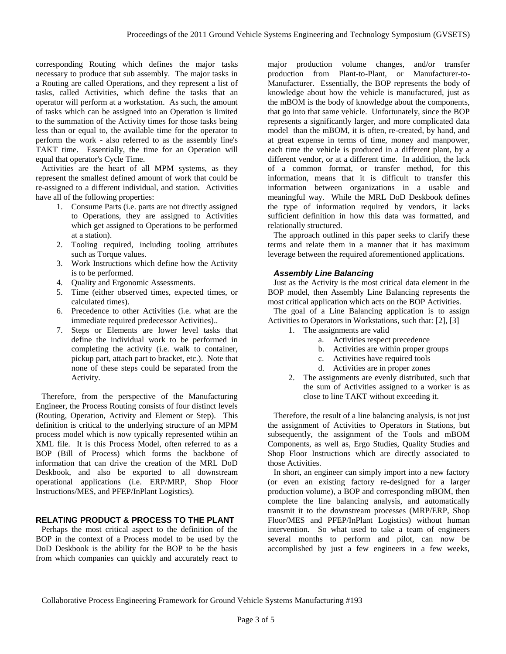corresponding Routing which defines the major tasks necessary to produce that sub assembly. The major tasks in a Routing are called Operations, and they represent a list of tasks, called Activities, which define the tasks that an operator will perform at a workstation. As such, the amount of tasks which can be assigned into an Operation is limited to the summation of the Activity times for those tasks being less than or equal to, the available time for the operator to perform the work - also referred to as the assembly line's TAKT time. Essentially, the time for an Operation will equal that operator's Cycle Time.

Activities are the heart of all MPM systems, as they represent the smallest defined amount of work that could be re-assigned to a different individual, and station. Activities have all of the following properties:

- 1. Consume Parts (i.e. parts are not directly assigned to Operations, they are assigned to Activities which get assigned to Operations to be performed at a station).
- 2. Tooling required, including tooling attributes such as Torque values.
- 3. Work Instructions which define how the Activity is to be performed.
- 4. Quality and Ergonomic Assessments.
- 5. Time (either observed times, expected times, or calculated times).
- 6. Precedence to other Activities (i.e. what are the immediate required predecessor Activities)..
- 7. Steps or Elements are lower level tasks that define the individual work to be performed in completing the activity (i.e. walk to container, pickup part, attach part to bracket, etc.). Note that none of these steps could be separated from the Activity.

Therefore, from the perspective of the Manufacturing Engineer, the Process Routing consists of four distinct levels (Routing, Operation, Activity and Element or Step). This definition is critical to the underlying structure of an MPM process model which is now typically represented wtihin an XML file. It is this Process Model, often referred to as a BOP (Bill of Process) which forms the backbone of information that can drive the creation of the MRL DoD Deskbook, and also be exported to all downstream operational applications (i.e. ERP/MRP, Shop Floor Instructions/MES, and PFEP/InPlant Logistics).

# **RELATING PRODUCT & PROCESS TO THE PLANT**

Perhaps the most critical aspect to the definition of the BOP in the context of a Process model to be used by the DoD Deskbook is the ability for the BOP to be the basis from which companies can quickly and accurately react to

major production volume changes, and/or transfer production from Plant-to-Plant, or Manufacturer-to-Manufacturer. Essentially, the BOP represents the body of knowledge about how the vehicle is manufactured, just as the mBOM is the body of knowledge about the components, that go into that same vehicle. Unfortunately, since the BOP represents a significantly larger, and more complicated data model than the mBOM, it is often, re-created, by hand, and at great expense in terms of time, money and manpower, each time the vehicle is produced in a different plant, by a different vendor, or at a different time. In addition, the lack of a common format, or transfer method, for this information, means that it is difficult to transfer this information between organizations in a usable and meaningful way. While the MRL DoD Deskbook defines the type of information required by vendors, it lacks sufficient definition in how this data was formatted, and relationally structured.

The approach outlined in this paper seeks to clarify these terms and relate them in a manner that it has maximum leverage between the required aforementioned applications.

### *Assembly Line Balancing*

Just as the Activity is the most critical data element in the BOP model, then Assembly Line Balancing represents the most critical application which acts on the BOP Activities.

The goal of a Line Balancing application is to assign Activities to Operators in Workstations, such that: [2], [3]

- 1. The assignments are valid
	- a. Activities respect precedence
	- b. Activities are within proper groups
	- c. Activities have required tools
	- d. Activities are in proper zones
- 2. The assignments are evenly distributed, such that the sum of Activities assigned to a worker is as close to line TAKT without exceeding it.

Therefore, the result of a line balancing analysis, is not just the assignment of Activities to Operators in Stations, but subsequently, the assignment of the Tools and mBOM Components, as well as, Ergo Studies, Quality Studies and Shop Floor Instructions which are directly associated to those Activities.

In short, an engineer can simply import into a new factory (or even an existing factory re-designed for a larger production volume), a BOP and corresponding mBOM, then complete the line balancing analysis, and automatically transmit it to the downstream processes (MRP/ERP, Shop Floor/MES and PFEP/InPlant Logistics) without human intervention. So what used to take a team of engineers several months to perform and pilot, can now be accomplished by just a few engineers in a few weeks,

Collaborative Process Engineering Framework for Ground Vehicle Systems Manufacturing #193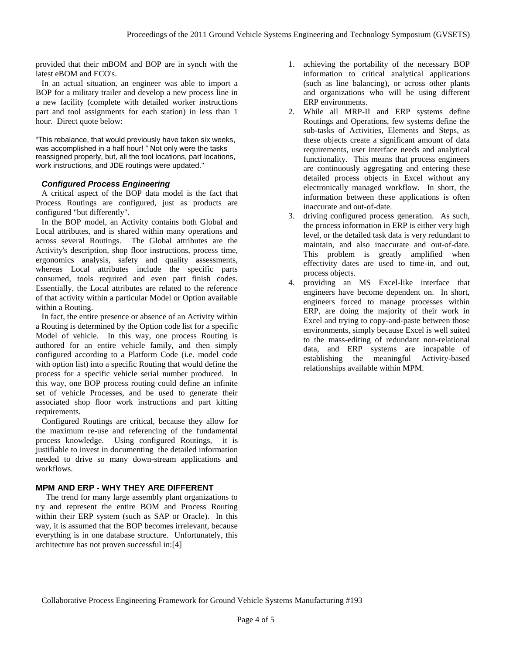provided that their mBOM and BOP are in synch with the latest eBOM and ECO's.

In an actual situation, an engineer was able to import a BOP for a military trailer and develop a new process line in a new facility (complete with detailed worker instructions part and tool assignments for each station) in less than 1 hour. Direct quote below:

"This rebalance, that would previously have taken six weeks, was accomplished in a half hour! " Not only were the tasks reassigned properly, but, all the tool locations, part locations, work instructions, and JDE routings were updated."

# *Configured Process Engineering*

A critical aspect of the BOP data model is the fact that Process Routings are configured, just as products are configured "but differently".

In the BOP model, an Activity contains both Global and Local attributes, and is shared within many operations and across several Routings. The Global attributes are the Activity's description, shop floor instructions, process time, ergonomics analysis, safety and quality assessments, whereas Local attributes include the specific parts consumed, tools required and even part finish codes. Essentially, the Local attributes are related to the reference of that activity within a particular Model or Option available within a Routing.

In fact, the entire presence or absence of an Activity within a Routing is determined by the Option code list for a specific Model of vehicle. In this way, one process Routing is authored for an entire vehicle family, and then simply configured according to a Platform Code (i.e. model code with option list) into a specific Routing that would define the process for a specific vehicle serial number produced. In this way, one BOP process routing could define an infinite set of vehicle Processes, and be used to generate their associated shop floor work instructions and part kitting requirements.

Configured Routings are critical, because they allow for the maximum re-use and referencing of the fundamental process knowledge. Using configured Routings, it is justifiable to invest in documenting the detailed information needed to drive so many down-stream applications and workflows.

## **MPM AND ERP - WHY THEY ARE DIFFERENT**

 The trend for many large assembly plant organizations to try and represent the entire BOM and Process Routing within their ERP system (such as SAP or Oracle). In this way, it is assumed that the BOP becomes irrelevant, because everything is in one database structure. Unfortunately, this architecture has not proven successful in:[4]

- 1. achieving the portability of the necessary BOP information to critical analytical applications (such as line balancing), or across other plants and organizations who will be using different ERP environments.
- 2. While all MRP-II and ERP systems define Routings and Operations, few systems define the sub-tasks of Activities, Elements and Steps, as these objects create a significant amount of data requirements, user interface needs and analytical functionality. This means that process engineers are continuously aggregating and entering these detailed process objects in Excel without any electronically managed workflow. In short, the information between these applications is often inaccurate and out-of-date.
- 3. driving configured process generation. As such, the process information in ERP is either very high level, or the detailed task data is very redundant to maintain, and also inaccurate and out-of-date. This problem is greatly amplified when effectivity dates are used to time-in, and out, process objects.
- 4. providing an MS Excel-like interface that engineers have become dependent on. In short, engineers forced to manage processes within ERP, are doing the majority of their work in Excel and trying to copy-and-paste between those environments, simply because Excel is well suited to the mass-editing of redundant non-relational data, and ERP systems are incapable of establishing the meaningful Activity-based relationships available within MPM.

Collaborative Process Engineering Framework for Ground Vehicle Systems Manufacturing #193